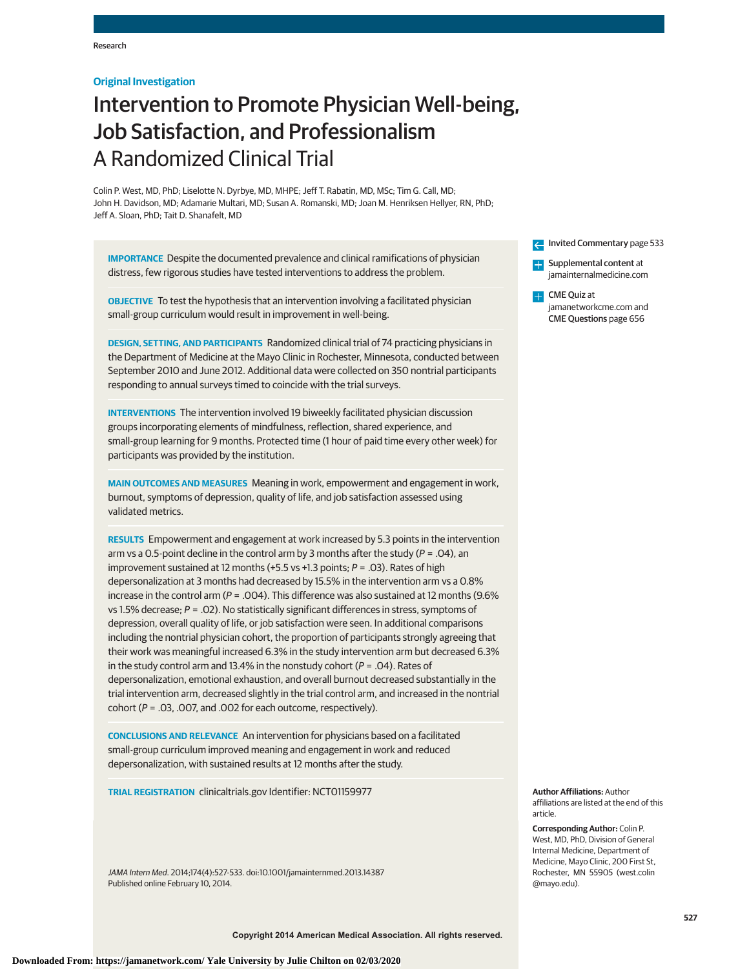# **Original Investigation**

# Intervention to Promote Physician Well-being, Job Satisfaction, and Professionalism A Randomized Clinical Trial

Colin P. West, MD, PhD; Liselotte N. Dyrbye, MD, MHPE; Jeff T. Rabatin, MD, MSc; Tim G. Call, MD; John H. Davidson, MD; Adamarie Multari, MD; Susan A. Romanski, MD; Joan M. Henriksen Hellyer, RN, PhD; Jeff A. Sloan, PhD; Tait D. Shanafelt, MD

**IMPORTANCE** Despite the documented prevalence and clinical ramifications of physician distress, few rigorous studies have tested interventions to address the problem.

**OBJECTIVE** To test the hypothesis that an intervention involving a facilitated physician small-group curriculum would result in improvement in well-being.

**DESIGN, SETTING, AND PARTICIPANTS** Randomized clinical trial of 74 practicing physicians in the Department of Medicine at the Mayo Clinic in Rochester, Minnesota, conducted between September 2010 and June 2012. Additional data were collected on 350 nontrial participants responding to annual surveys timed to coincide with the trial surveys.

**INTERVENTIONS** The intervention involved 19 biweekly facilitated physician discussion groups incorporating elements of mindfulness, reflection, shared experience, and small-group learning for 9 months. Protected time (1 hour of paid time every other week) for participants was provided by the institution.

**MAIN OUTCOMES AND MEASURES** Meaning in work, empowerment and engagement in work, burnout, symptoms of depression, quality of life, and job satisfaction assessed using validated metrics.

**RESULTS** Empowerment and engagement at work increased by 5.3 points in the intervention arm vs a 0.5-point decline in the control arm by 3 months after the study ( $P = .04$ ), an improvement sustained at 12 months (+5.5 vs +1.3 points;  $P = .03$ ). Rates of high depersonalization at 3 months had decreased by 15.5% in the intervention arm vs a 0.8% increase in the control arm ( $P = .004$ ). This difference was also sustained at 12 months (9.6% vs 1.5% decrease;  $P = .02$ ). No statistically significant differences in stress, symptoms of depression, overall quality of life, or job satisfaction were seen. In additional comparisons including the nontrial physician cohort, the proportion of participants strongly agreeing that their work was meaningful increased 6.3% in the study intervention arm but decreased 6.3% in the study control arm and 13.4% in the nonstudy cohort ( $P = .04$ ). Rates of depersonalization, emotional exhaustion, and overall burnout decreased substantially in the trial intervention arm, decreased slightly in the trial control arm, and increased in the nontrial cohort ( $P = .03$ , .007, and .002 for each outcome, respectively).

**CONCLUSIONS AND RELEVANCE** An intervention for physicians based on a facilitated small-group curriculum improved meaning and engagement in work and reduced depersonalization, with sustained results at 12 months after the study.

**TRIAL REGISTRATION** clinicaltrials.gov Identifier: NCT01159977

JAMA Intern Med. 2014;174(4):527-533. doi:10.1001/jamainternmed.2013.14387 Published online February 10, 2014.

Invited Commentary page 533

Supplemental content at jamainternalmedicine.com

**CME** Quiz at jamanetworkcme.com and CME Questions page 656

**Author Affiliations:** Author affiliations are listed at the end of this article.

**Corresponding Author:** Colin P. West, MD, PhD, Division of General Internal Medicine, Department of Medicine, Mayo Clinic, 200 First St, Rochester, MN 55905 (west.colin @mayo.edu).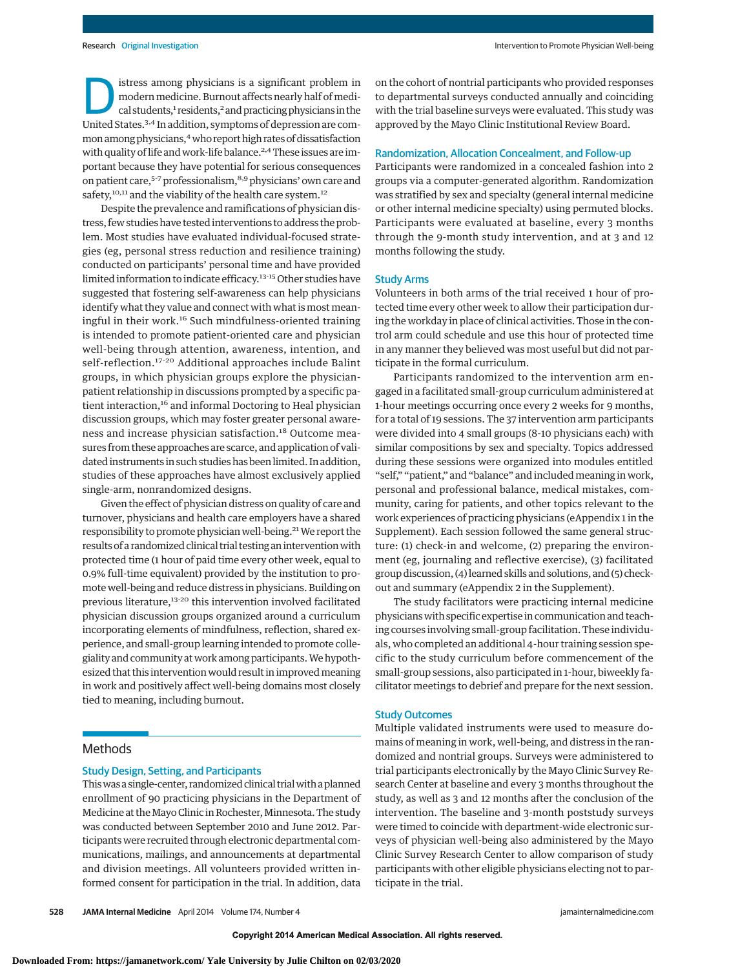Interess among physicians is a significant problem in<br>
modern medicine. Burnout affects nearly half of medi-<br>
cal students,<sup>1</sup> residents,<sup>2</sup> and practicing physicians in the<br>
United States <sup>3,4</sup> In addition symptoms of dop modern medicine. Burnout affects nearly half of medi-United States.3,4 In addition, symptoms of depression are common among physicians,<sup>4</sup> who report high rates of dissatisfaction with quality of life and work-life balance.<sup>2,4</sup> These issues are important because they have potential for serious consequences on patient care,<sup>5-7</sup> professionalism,<sup>8,9</sup> physicians' own care and safety,<sup>10,11</sup> and the viability of the health care system.<sup>12</sup>

Despite the prevalence and ramifications of physician distress, few studies have tested interventions to address the problem. Most studies have evaluated individual-focused strategies (eg, personal stress reduction and resilience training) conducted on participants' personal time and have provided limited information to indicate efficacy.<sup>13-15</sup> Other studies have suggested that fostering self-awareness can help physicians identify what they value and connect with what is most meaningful in their work.<sup>16</sup> Such mindfulness-oriented training is intended to promote patient-oriented care and physician well-being through attention, awareness, intention, and self-reflection.<sup>17-20</sup> Additional approaches include Balint groups, in which physician groups explore the physicianpatient relationship in discussions prompted by a specific patient interaction,<sup>16</sup> and informal Doctoring to Heal physician discussion groups, which may foster greater personal awareness and increase physician satisfaction.<sup>18</sup> Outcome measures from these approaches are scarce, and application of validated instruments in such studies has been limited. In addition, studies of these approaches have almost exclusively applied single-arm, nonrandomized designs.

Given the effect of physician distress on quality of care and turnover, physicians and health care employers have a shared responsibility to promote physician well-being.<sup>21</sup> We report the results of a randomized clinical trial testing an intervention with protected time (1 hour of paid time every other week, equal to 0.9% full-time equivalent) provided by the institution to promote well-being and reduce distress in physicians. Building on previous literature,<sup>13-20</sup> this intervention involved facilitated physician discussion groups organized around a curriculum incorporating elements of mindfulness, reflection, shared experience, and small-group learning intended to promote collegiality and community at work among participants.We hypothesized that this intervention would result in improved meaning in work and positively affect well-being domains most closely tied to meaning, including burnout.

# **Methods**

## Study Design, Setting, and Participants

This was a single-center, randomized clinical trial with a planned enrollment of 90 practicing physicians in the Department of Medicine at the Mayo Clinic in Rochester, Minnesota. The study was conducted between September 2010 and June 2012. Participants were recruited through electronic departmental communications, mailings, and announcements at departmental and division meetings. All volunteers provided written informed consent for participation in the trial. In addition, data on the cohort of nontrial participants who provided responses to departmental surveys conducted annually and coinciding with the trial baseline surveys were evaluated. This study was approved by the Mayo Clinic Institutional Review Board.

## Randomization, Allocation Concealment, and Follow-up

Participants were randomized in a concealed fashion into 2 groups via a computer-generated algorithm. Randomization was stratified by sex and specialty (general internal medicine or other internal medicine specialty) using permuted blocks. Participants were evaluated at baseline, every 3 months through the 9-month study intervention, and at 3 and 12 months following the study.

### Study Arms

Volunteers in both arms of the trial received 1 hour of protected time every other week to allow their participation during the workday in place of clinical activities. Those in the control arm could schedule and use this hour of protected time in any manner they believed was most useful but did not participate in the formal curriculum.

Participants randomized to the intervention arm engaged in a facilitated small-group curriculum administered at 1-hour meetings occurring once every 2 weeks for 9 months, for a total of 19 sessions. The 37 intervention arm participants were divided into 4 small groups (8-10 physicians each) with similar compositions by sex and specialty. Topics addressed during these sessions were organized into modules entitled "self," "patient," and "balance" and included meaning in work, personal and professional balance, medical mistakes, community, caring for patients, and other topics relevant to the work experiences of practicing physicians (eAppendix 1 in the Supplement). Each session followed the same general structure: (1) check-in and welcome, (2) preparing the environment (eg, journaling and reflective exercise), (3) facilitated group discussion, (4) learned skills and solutions, and (5) checkout and summary (eAppendix 2 in the Supplement).

The study facilitators were practicing internal medicine physicianswith specific expertise in communication and teaching courses involving small-group facilitation. These individuals, who completed an additional 4-hour training session specific to the study curriculum before commencement of the small-group sessions, also participated in 1-hour, biweekly facilitator meetings to debrief and prepare for the next session.

# Study Outcomes

Multiple validated instruments were used to measure domains of meaning in work, well-being, and distress in the randomized and nontrial groups. Surveys were administered to trial participants electronically by the Mayo Clinic Survey Research Center at baseline and every 3 months throughout the study, as well as 3 and 12 months after the conclusion of the intervention. The baseline and 3-month poststudy surveys were timed to coincide with department-wide electronic surveys of physician well-being also administered by the Mayo Clinic Survey Research Center to allow comparison of study participants with other eligible physicians electing not to participate in the trial.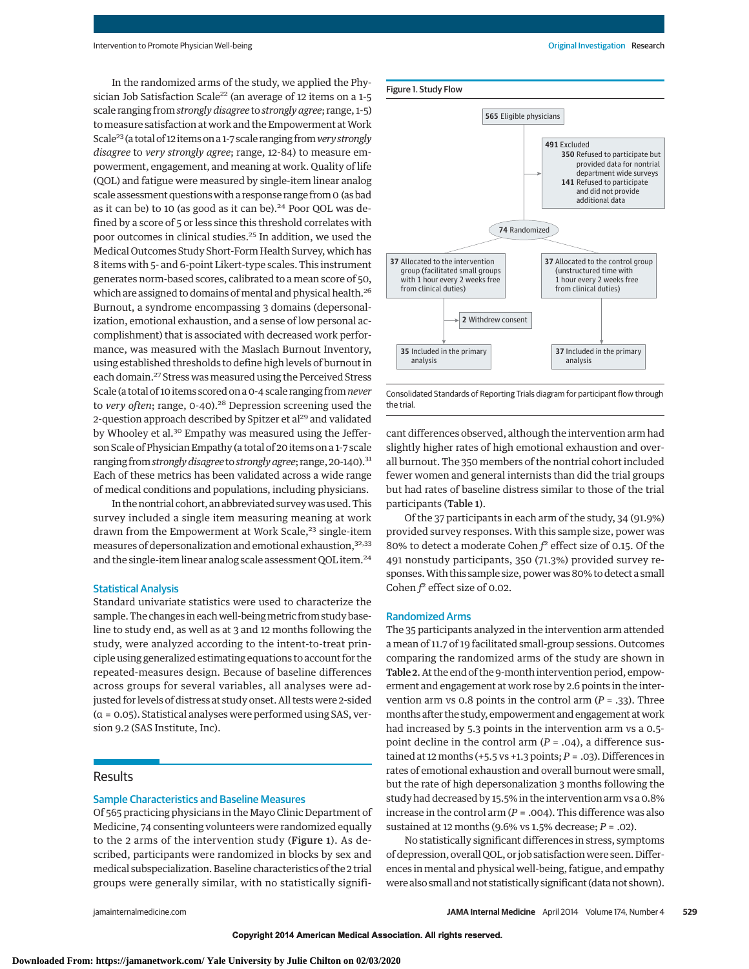In the randomized arms of the study, we applied the Physician Job Satisfaction Scale<sup>22</sup> (an average of 12 items on a 1-5 scale ranging from*strongly disagree* to*strongly agree*; range, 1-5) to measure satisfaction at work and the Empowerment at Work Scale<sup>23</sup> (a total of 12 items on a 1-7 scale ranging from *very strongly disagree* to *very strongly agree*; range, 12-84) to measure empowerment, engagement, and meaning at work. Quality of life (QOL) and fatigue were measured by single-item linear analog scale assessment questionswith a response range from 0 (as bad as it can be) to 10 (as good as it can be).<sup>24</sup> Poor QOL was defined by a score of 5 or less since this threshold correlates with poor outcomes in clinical studies.25 In addition, we used the Medical Outcomes Study Short-Form Health Survey, which has 8 items with 5- and 6-point Likert-type scales. This instrument generates norm-based scores, calibrated to a mean score of 50, which are assigned to domains of mental and physical health.<sup>26</sup> Burnout, a syndrome encompassing 3 domains (depersonalization, emotional exhaustion, and a sense of low personal accomplishment) that is associated with decreased work performance, was measured with the Maslach Burnout Inventory, using established thresholds to define high levels of burnout in each domain.<sup>27</sup> Stress was measured using the Perceived Stress Scale (a total of 10 items scored on a 0-4 scale ranging from*never* to *very often*; range, 0-40).<sup>28</sup> Depression screening used the 2-question approach described by Spitzer et al<sup>29</sup> and validated by Whooley et al.<sup>30</sup> Empathy was measured using the Jefferson Scale of Physician Empathy (a total of 20 items on a 1-7 scale ranging from*strongly disagree* to*strongly agree*; range, 20-140).31 Each of these metrics has been validated across a wide range of medical conditions and populations, including physicians.

In the nontrial cohort, an abbreviated survey was used. This survey included a single item measuring meaning at work drawn from the Empowerment at Work Scale, $23$  single-item measures of depersonalization and emotional exhaustion, 32,33 and the single-item linear analog scale assessment QOL item.24

#### Statistical Analysis

Standard univariate statistics were used to characterize the sample. The changes in each well-being metric from study baseline to study end, as well as at 3 and 12 months following the study, were analyzed according to the intent-to-treat principle using generalized estimating equations to account for the repeated-measures design. Because of baseline differences across groups for several variables, all analyses were adjusted for levels of distress at study onset. All tests were 2-sided (α = 0.05). Statistical analyses were performed using SAS, version 9.2 (SAS Institute, Inc).

# **Results**

## Sample Characteristics and Baseline Measures

Of 565 practicing physicians in the Mayo Clinic Department of Medicine, 74 consenting volunteers were randomized equally to the 2 arms of the intervention study (Figure 1). As described, participants were randomized in blocks by sex and medical subspecialization. Baseline characteristics of the 2 trial groups were generally similar, with no statistically signifi-



Consolidated Standards of Reporting Trials diagram for participant flow through the trial.

cant differences observed, although the intervention arm had slightly higher rates of high emotional exhaustion and overall burnout. The 350 members of the nontrial cohort included fewer women and general internists than did the trial groups but had rates of baseline distress similar to those of the trial participants (Table 1).

Of the 37 participants in each arm of the study, 34 (91.9%) provided survey responses. With this sample size, power was 80% to detect a moderate Cohen *f* <sup>2</sup> effect size of 0.15. Of the 491 nonstudy participants, 350 (71.3%) provided survey responses. With this sample size, power was 80% to detect a small Cohen *f* <sup>2</sup> effect size of 0.02.

#### Randomized Arms

The 35 participants analyzed in the intervention arm attended a mean of 11.7 of 19 facilitated small-group sessions. Outcomes comparing the randomized arms of the study are shown in Table 2. At the end of the 9-month intervention period, empowerment and engagement at work rose by 2.6 points in the intervention arm vs 0.8 points in the control arm (*P* = .33). Three months after the study, empowerment and engagement at work had increased by 5.3 points in the intervention arm vs a 0.5 point decline in the control arm (*P* = .04), a difference sustained at 12 months  $(+5.5 \text{ vs } +1.3 \text{ points}; P = .03)$ . Differences in rates of emotional exhaustion and overall burnout were small, but the rate of high depersonalization 3 months following the study had decreased by 15.5% in the intervention arm vs a 0.8% increase in the control arm  $(P = .004)$ . This difference was also sustained at 12 months (9.6% vs 1.5% decrease; *P* = .02).

No statistically significant differences in stress, symptoms of depression, overall QOL, or job satisfaction were seen. Differences in mental and physical well-being, fatigue, and empathy were also small and not statistically significant (data not shown).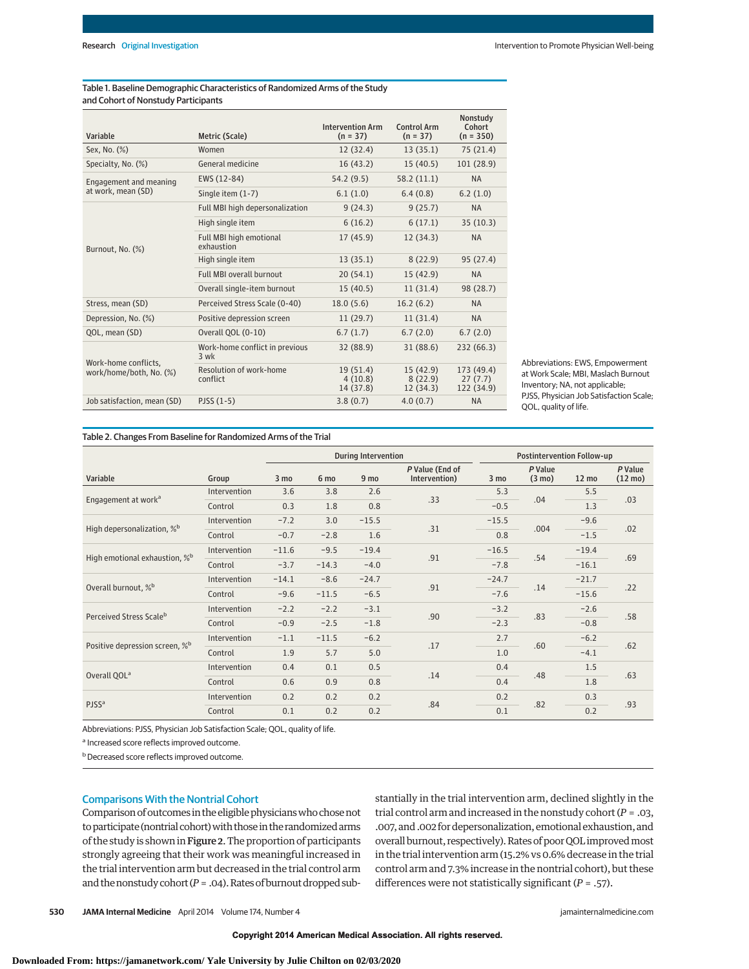# Table 1. Baseline Demographic Characteristics of Randomized Arms of the Study and Cohort of Nonstudy Participants

| Variable                                        | Metric (Scale)                           | <b>Intervention Arm</b><br>$(n = 37)$ | Control Arm<br>$(n = 37)$       | Nonstudy<br>Cohort<br>$(n = 350)$   |  |
|-------------------------------------------------|------------------------------------------|---------------------------------------|---------------------------------|-------------------------------------|--|
| Sex, No. (%)                                    | Women                                    | 12(32.4)                              | 13(35.1)                        | 75 (21.4)                           |  |
| Specialty, No. (%)                              | General medicine                         | 16(43.2)                              | 15(40.5)                        | 101 (28.9)                          |  |
| Engagement and meaning<br>at work, mean (SD)    | EWS (12-84)                              | 54.2 (9.5)                            | 58.2(11.1)                      | <b>NA</b>                           |  |
|                                                 | Single item (1-7)                        | 6.1(1.0)                              | 6.4(0.8)                        | 6.2(1.0)                            |  |
| Burnout, No. (%)                                | Full MBI high depersonalization          | 9(24.3)                               | 9(25.7)                         | <b>NA</b>                           |  |
|                                                 | High single item                         | 6(16.2)                               | 6(17.1)                         | 35(10.3)                            |  |
|                                                 | Full MBI high emotional<br>exhaustion    | 17(45.9)                              | 12(34.3)                        | <b>NA</b>                           |  |
|                                                 | High single item                         | 13(35.1)                              | 8(22.9)                         | 95 (27.4)                           |  |
|                                                 | Full MBI overall burnout                 | 20(54.1)                              | 15(42.9)                        | <b>NA</b>                           |  |
|                                                 | Overall single-item burnout              | 15(40.5)                              | 11(31.4)                        | 98 (28.7)                           |  |
| Stress, mean (SD)                               | Perceived Stress Scale (0-40)            | 16.2(6.2)                             | <b>NA</b>                       |                                     |  |
| Depression, No. (%)                             | Positive depression screen               | 11(29.7)                              | 11(31.4)                        | <b>NA</b>                           |  |
| QOL, mean (SD)                                  | Overall QOL (0-10)                       | 6.7(1.7)                              | 6.7(2.0)                        | 6.7(2.0)                            |  |
| Work-home conflicts.<br>work/home/both, No. (%) | Work-home conflict in previous<br>$3$ wk | 32 (88.9)                             | 31(88.6)                        | 232 (66.3)                          |  |
|                                                 | Resolution of work-home<br>conflict      | 19(51.4)<br>4(10.8)<br>14 (37.8)      | 15(42.9)<br>8(22.9)<br>12(34.3) | 173 (49.4)<br>27(7.7)<br>122 (34.9) |  |
| Job satisfaction, mean (SD)                     | PJSS $(1-5)$                             | 3.8(0.7)                              | 4.0(0.7)                        | <b>NA</b>                           |  |

Abbreviations: EWS, Empowerment at Work Scale; MBI, Maslach Burnout Inventory; NA, not applicable; PJSS, Physician Job Satisfaction Scale; QOL, quality of life.

## Table 2. Changes From Baseline for Randomized Arms of the Trial

|                                            |              | <b>During Intervention</b> |         |                 | <b>Postintervention Follow-up</b> |         |                             |                 |                              |
|--------------------------------------------|--------------|----------------------------|---------|-----------------|-----------------------------------|---------|-----------------------------|-----------------|------------------------------|
| Variable                                   | Group        | 3 <sub>mo</sub>            | 6 mo    | 9 <sub>mo</sub> | P Value (End of<br>Intervention)  | 3 mo    | P Value<br>$(3 \text{ mo})$ | $12 \text{ mo}$ | P Value<br>$(12 \text{ mo})$ |
| Engagement at work <sup>a</sup>            | Intervention | 3.6                        | 3.8     | 2.6             | .33                               | 5.3     | .04                         | 5.5             | .03                          |
|                                            | Control      | 0.3                        | 1.8     | 0.8             |                                   | $-0.5$  |                             | 1.3             |                              |
| High depersonalization, % <sup>b</sup>     | Intervention | $-7.2$                     | 3.0     | $-15.5$         | .31                               | $-15.5$ | .004                        | $-9.6$          | .02                          |
|                                            | Control      | $-0.7$                     | $-2.8$  | 1.6             |                                   | 0.8     |                             | $-1.5$          |                              |
| High emotional exhaustion, % <sup>b</sup>  | Intervention | $-11.6$                    | $-9.5$  | $-19.4$         | .91                               | $-16.5$ | .54                         | $-19.4$         | .69                          |
|                                            | Control      | $-3.7$                     | $-14.3$ | $-4.0$          |                                   | $-7.8$  |                             | $-16.1$         |                              |
| Overall burnout, % <sup>b</sup>            | Intervention | $-14.1$                    | $-8.6$  | $-24.7$         | .91                               | $-24.7$ | .14                         | $-21.7$         | .22                          |
|                                            | Control      | $-9.6$                     | $-11.5$ | $-6.5$          |                                   | $-7.6$  |                             | $-15.6$         |                              |
| Perceived Stress Scaleb                    | Intervention | $-2.2$                     | $-2.2$  | $-3.1$          | .90                               | $-3.2$  | .83                         | $-2.6$          | .58                          |
|                                            | Control      | $-0.9$                     | $-2.5$  | $-1.8$          |                                   | $-2.3$  |                             | $-0.8$          |                              |
| Positive depression screen, % <sup>b</sup> | Intervention | $-1.1$                     | $-11.5$ | $-6.2$          | .17                               | 2.7     | .60                         | $-6.2$          | .62                          |
|                                            | Control      | 1.9                        | 5.7     | 5.0             |                                   | 1.0     |                             | $-4.1$          |                              |
| Overall QOL <sup>a</sup>                   | Intervention | 0.4                        | 0.1     | 0.5             | .14                               | 0.4     | .48                         | 1.5             | .63                          |
|                                            | Control      | 0.6                        | 0.9     | 0.8             |                                   | 0.4     |                             | 1.8             |                              |
| PJSS <sup>a</sup>                          | Intervention | 0.2                        | 0.2     | 0.2             | .84                               | 0.2     | .82                         | 0.3             |                              |
|                                            | Control      | 0.1                        | 0.2     | 0.2             |                                   | 0.1     |                             | 0.2             | .93                          |

Abbreviations: PJSS, Physician Job Satisfaction Scale; QOL, quality of life.

a Increased score reflects improved outcome.

**b** Decreased score reflects improved outcome.

## Comparisons With the Nontrial Cohort

Comparison of outcomes in the eligible physicians who chose not to participate (nontrial cohort) with those in the randomized arms of the study is shown in Figure 2. The proportion of participants strongly agreeing that their work was meaningful increased in the trial intervention arm but decreased in the trial control arm and the nonstudy cohort ( $P = .04$ ). Rates of burnout dropped substantially in the trial intervention arm, declined slightly in the trial control arm and increased in the nonstudy cohort (*P* = .03, .007, and .002 for depersonalization, emotional exhaustion, and overall burnout, respectively). Rates of poor QOL improved most in the trial intervention arm (15.2% vs 0.6% decrease in the trial control arm and 7.3% increase in the nontrial cohort), but these differences were not statistically significant (*P* = .57).

**530 JAMA Internal Medicine** April 2014 Volume 174, Number 4 **jamainternalmedicine.com** jamainternalmedicine.com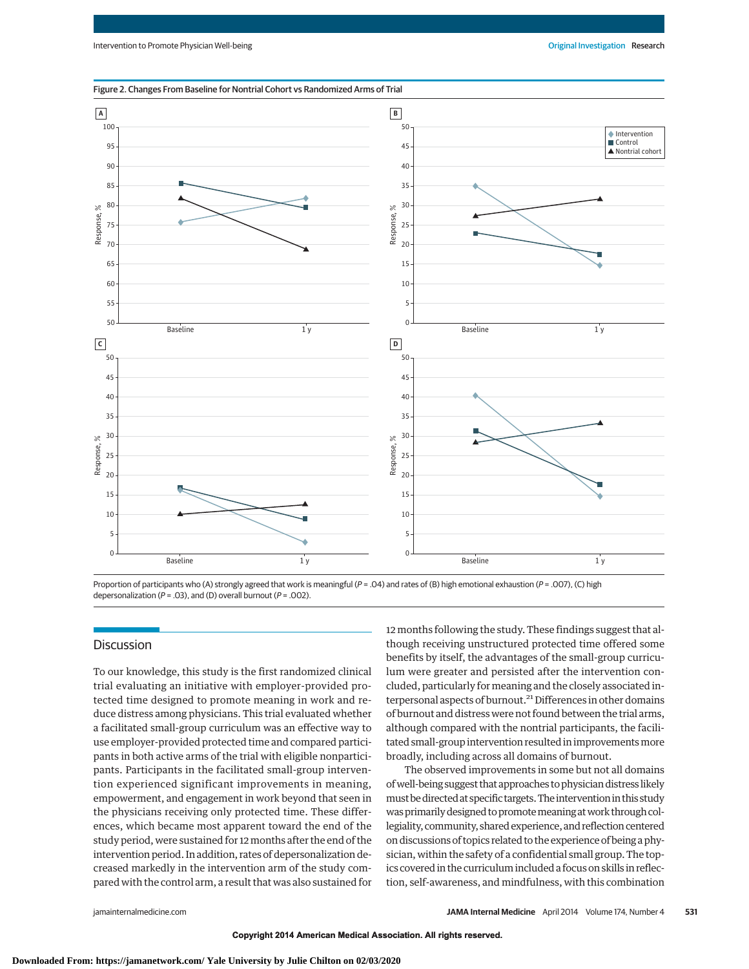



### Figure 2. Changes From Baseline for Nontrial Cohort vs Randomized Arms of Trial



# Discussion

To our knowledge, this study is the first randomized clinical trial evaluating an initiative with employer-provided protected time designed to promote meaning in work and reduce distress among physicians. This trial evaluated whether a facilitated small-group curriculum was an effective way to use employer-provided protected time and compared participants in both active arms of the trial with eligible nonparticipants. Participants in the facilitated small-group intervention experienced significant improvements in meaning, empowerment, and engagement in work beyond that seen in the physicians receiving only protected time. These differences, which became most apparent toward the end of the study period, were sustained for 12 months after the end of the intervention period. In addition, rates of depersonalization decreased markedly in the intervention arm of the study compared with the control arm, a result that was also sustained for 12 months following the study. These findings suggest that although receiving unstructured protected time offered some benefits by itself, the advantages of the small-group curriculum were greater and persisted after the intervention concluded, particularly for meaning and the closely associated interpersonal aspects of burnout.<sup>21</sup> Differences in other domains of burnout and distress were not found between the trial arms, although compared with the nontrial participants, the facilitated small-group intervention resulted in improvements more broadly, including across all domains of burnout.

The observed improvements in some but not all domains ofwell-being suggest that approaches to physician distress likely must be directed at specific targets. The intervention in this study was primarily designed to promote meaning at work through collegiality, community, shared experience, and reflection centered on discussions of topics related to the experience of being a physician, within the safety of a confidential small group. The topics covered in the curriculum included a focus on skills in reflection, self-awareness, and mindfulness, with this combination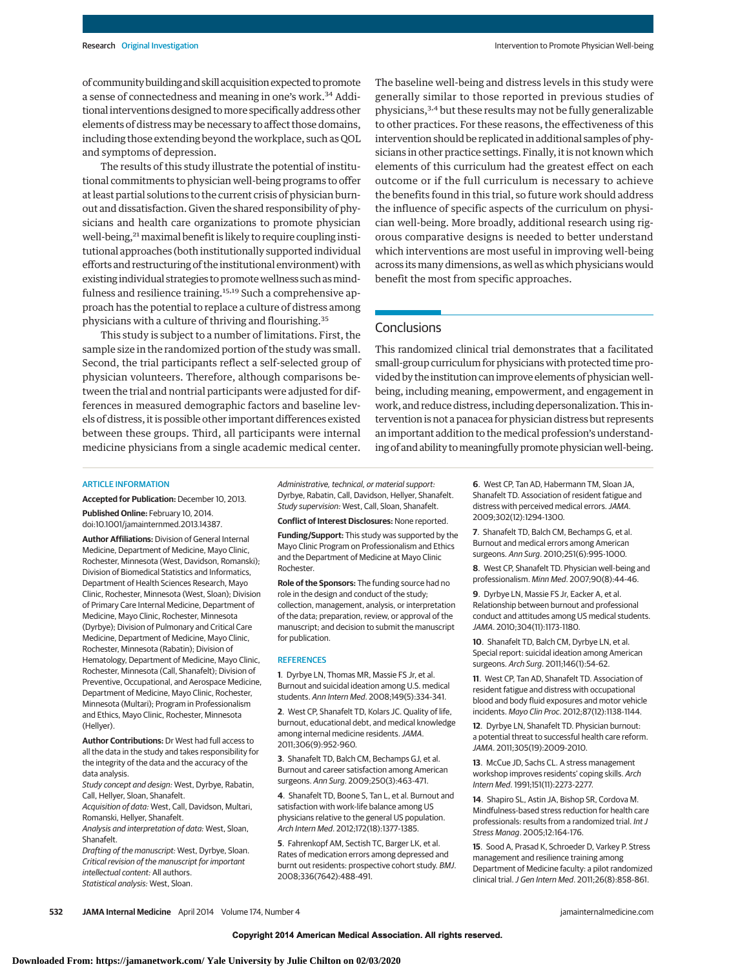of community building and skill acquisition expected to promote a sense of connectedness and meaning in one's work.<sup>34</sup> Additional interventions designed tomore specifically address other elements of distressmay be necessary to affect those domains, including those extending beyond the workplace, such as QOL and symptoms of depression.

The results of this study illustrate the potential of institutional commitments to physician well-being programs to offer at least partial solutions to the current crisis of physician burnout and dissatisfaction. Given the shared responsibility of physicians and health care organizations to promote physician well-being,<sup>21</sup> maximal benefit is likely to require coupling institutional approaches (both institutionally supported individual efforts and restructuring of the institutional environment) with existing individual strategies to promote wellness such as mindfulness and resilience training.<sup>15,19</sup> Such a comprehensive approach has the potential to replace a culture of distress among physicians with a culture of thriving and flourishing.<sup>35</sup>

This study is subject to a number of limitations. First, the sample size in the randomized portion of the study was small. Second, the trial participants reflect a self-selected group of physician volunteers. Therefore, although comparisons between the trial and nontrial participants were adjusted for differences in measured demographic factors and baseline levels of distress, it is possible other important differences existed between these groups. Third, all participants were internal medicine physicians from a single academic medical center. The baseline well-being and distress levels in this study were generally similar to those reported in previous studies of physicians,3,4 but these results may not be fully generalizable to other practices. For these reasons, the effectiveness of this intervention should be replicated in additional samples of physicians in other practice settings. Finally, it is not known which elements of this curriculum had the greatest effect on each outcome or if the full curriculum is necessary to achieve the benefits found in this trial, so future work should address the influence of specific aspects of the curriculum on physician well-being. More broadly, additional research using rigorous comparative designs is needed to better understand which interventions are most useful in improving well-being across its many dimensions, as well as which physicians would benefit the most from specific approaches.

# **Conclusions**

This randomized clinical trial demonstrates that a facilitated small-group curriculum for physicians with protected time provided by the institution can improve elements of physicianwellbeing, including meaning, empowerment, and engagement in work, and reduce distress, including depersonalization. This intervention is not a panacea for physician distress but represents an important addition to the medical profession's understanding of and ability to meaningfully promote physician well-being.

## ARTICLE INFORMATION

**Accepted for Publication:** December 10, 2013.

**Published Online:** February 10, 2014. doi:10.1001/jamainternmed.2013.14387.

**Author Affiliations:** Division of General Internal Medicine, Department of Medicine, Mayo Clinic, Rochester, Minnesota (West, Davidson, Romanski); Division of Biomedical Statistics and Informatics, Department of Health Sciences Research, Mayo Clinic, Rochester, Minnesota (West, Sloan); Division of Primary Care Internal Medicine, Department of Medicine, Mayo Clinic, Rochester, Minnesota (Dyrbye); Division of Pulmonary and Critical Care Medicine, Department of Medicine, Mayo Clinic, Rochester, Minnesota (Rabatin); Division of Hematology, Department of Medicine, Mayo Clinic, Rochester, Minnesota (Call, Shanafelt); Division of Preventive, Occupational, and Aerospace Medicine, Department of Medicine, Mayo Clinic, Rochester, Minnesota (Multari); Program in Professionalism and Ethics, Mayo Clinic, Rochester, Minnesota (Hellyer).

**Author Contributions:** Dr West had full access to all the data in the study and takes responsibility for the integrity of the data and the accuracy of the data analysis.

Study concept and design: West, Dyrbye, Rabatin, Call, Hellyer, Sloan, Shanafelt.

Acquisition of data: West, Call, Davidson, Multari, Romanski, Hellyer, Shanafelt.

Analysis and interpretation of data: West, Sloan, Shanafelt.

Drafting of the manuscript: West, Dyrbye, Sloan. Critical revision of the manuscript for important intellectual content: All authors. Statistical analysis: West, Sloan.

Administrative, technical, or material support: Dyrbye, Rabatin, Call, Davidson, Hellyer, Shanafelt. Study supervision: West, Call, Sloan, Shanafelt.

**Conflict of Interest Disclosures:** None reported.

**Funding/Support:** This study was supported by the Mayo Clinic Program on Professionalism and Ethics and the Department of Medicine at Mayo Clinic Rochester.

**Role of the Sponsors:** The funding source had no role in the design and conduct of the study; collection, management, analysis, or interpretation of the data; preparation, review, or approval of the manuscript; and decision to submit the manuscript for publication.

#### **REFERENCES**

**1**. Dyrbye LN, Thomas MR, Massie FS Jr, et al. Burnout and suicidal ideation among U.S. medical students. Ann Intern Med. 2008;149(5):334-341.

**2**. West CP, Shanafelt TD, Kolars JC. Quality of life, burnout, educational debt, and medical knowledge among internal medicine residents.JAMA. 2011;306(9):952-960.

**3**. Shanafelt TD, Balch CM, Bechamps GJ, et al. Burnout and career satisfaction among American surgeons. Ann Surg. 2009;250(3):463-471.

**4**. Shanafelt TD, Boone S, Tan L, et al. Burnout and satisfaction with work-life balance among US physicians relative to the general US population. Arch Intern Med. 2012;172(18):1377-1385.

**5**. Fahrenkopf AM, Sectish TC, Barger LK, et al. Rates of medication errors among depressed and burnt out residents: prospective cohort study. BMJ. 2008;336(7642):488-491.

**6**. West CP, Tan AD, Habermann TM, Sloan JA, Shanafelt TD. Association of resident fatigue and distress with perceived medical errors. JAMA. 2009;302(12):1294-1300.

**7**. Shanafelt TD, Balch CM, Bechamps G, et al. Burnout and medical errors among American surgeons. Ann Surg. 2010;251(6):995-1000.

**8**. West CP, Shanafelt TD. Physician well-being and professionalism. Minn Med. 2007;90(8):44-46.

**9**. Dyrbye LN, Massie FS Jr, Eacker A, et al. Relationship between burnout and professional conduct and attitudes among US medical students. JAMA. 2010;304(11):1173-1180.

**10**. Shanafelt TD, Balch CM, Dyrbye LN, et al. Special report: suicidal ideation among American surgeons. Arch Surg. 2011;146(1):54-62.

**11**. West CP, Tan AD, Shanafelt TD. Association of resident fatigue and distress with occupational blood and body fluid exposures and motor vehicle incidents. Mayo Clin Proc. 2012;87(12):1138-1144.

**12**. Dyrbye LN, Shanafelt TD. Physician burnout: a potential threat to successful health care reform. JAMA. 2011;305(19):2009-2010.

**13**. McCue JD, Sachs CL. A stress management workshop improves residents' coping skills. Arch Intern Med. 1991;151(11):2273-2277.

**14**. Shapiro SL, Astin JA, Bishop SR, Cordova M. Mindfulness-based stress reduction for health care professionals: results from a randomized trial. Int J Stress Manag. 2005;12:164-176.

**15**. Sood A, Prasad K, Schroeder D, Varkey P. Stress management and resilience training among Department of Medicine faculty: a pilot randomized clinical trial. J Gen Intern Med. 2011;26(8):858-861.

**532 JAMA Internal Medicine** April 2014 Volume 174, Number 4 **jamainternalmedicine.com** jamainternalmedicine.com